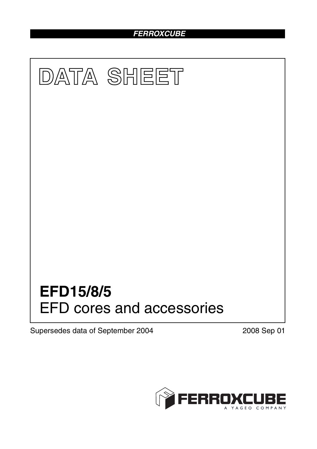# *FERROXCUBE*



Supersedes data of September 2004 2008 Sep 01

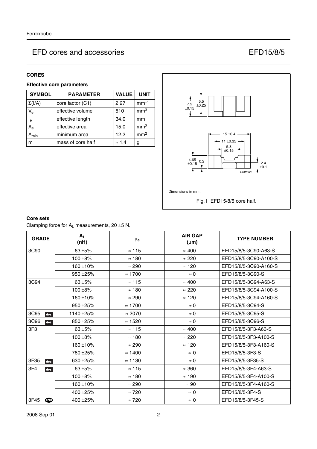## **CORES**

# **Effective core parameters**

| <b>SYMBOL</b>             | <b>PARAMETER</b>  | <b>VALUE</b>  | <b>UNIT</b>     |
|---------------------------|-------------------|---------------|-----------------|
| $\Sigma(I/A)$             | core factor (C1)  | 2.27          | $mm-1$          |
| $V_{e}$                   | effective volume  | 510           | mm <sup>3</sup> |
| l <sub>e</sub>            | effective length  | 34.0          | mm              |
| $\mathsf{A}_{\mathsf{e}}$ | effective area    | 15.0          | mm <sup>2</sup> |
| <b>min</b>                | minimum area      | 12.2          | mm <sup>2</sup> |
| m                         | mass of core half | $\approx$ 1.4 | g               |



Fig.1 EFD15/8/5 core half.

### **Core sets**

Clamping force for  $A_L$  measurements, 20  $\pm$ 5 N.

| <b>GRADE</b>    | $A_L$<br>(nH) | $\mu_{\mathbf{e}}$ | <b>AIR GAP</b><br>$(\mu m)$ | <b>TYPE NUMBER</b>    |
|-----------------|---------------|--------------------|-----------------------------|-----------------------|
| 3C90            | $63 + 5%$     | $\approx$ 115      | $\approx 400$               | EFD15/8/5-3C90-A63-S  |
|                 | $100 + 8%$    | $\approx$ 180      | $\approx 220$               | EFD15/8/5-3C90-A100-S |
|                 | $160 + 10%$   | $\approx 290$      | $\approx$ 120               | EFD15/8/5-3C90-A160-S |
|                 | 950 ± 25%     | $\approx 1700$     | $\approx 0$                 | EFD15/8/5-3C90-S      |
| 3C94            | $63 + 5%$     | $\approx$ 115      | $\approx 400$               | EFD15/8/5-3C94-A63-S  |
|                 | $100 + 8%$    | $\approx$ 180      | $\approx 220$               | EFD15/8/5-3C94-A100-S |
|                 | $160 + 10%$   | $\approx 290$      | $\approx$ 120               | EFD15/8/5-3C94-A160-S |
|                 | $950 + 25%$   | $\approx$ 1700     | $\approx$ 0                 | EFD15/8/5-3C94-S      |
| 3C95<br>des     | 1140 ±25%     | $\approx 2070$     | $\approx 0$                 | EFD15/8/5-3C95-S      |
| 3C96<br>des     | 850 ± 25%     | $\approx$ 1520     | $\approx$ 0                 | EFD15/8/5-3C96-S      |
| 3F <sub>3</sub> | $63 + 5%$     | $\approx$ 115      | $\approx 400$               | EFD15/8/5-3F3-A63-S   |
|                 | $100 + 8%$    | $\approx$ 180      | $\approx 220$               | EFD15/8/5-3F3-A100-S  |
|                 | $160 + 10%$   | $\approx 290$      | $\approx$ 120               | EFD15/8/5-3F3-A160-S  |
|                 | 780 ± 25%     | $\approx$ 1400     | $\approx 0$                 | EFD15/8/5-3F3-S       |
| 3F35<br>des     | 630 $\pm$ 25% | $\approx$ 1130     | $\approx 0$                 | EFD15/8/5-3F35-S      |
| 3F4<br>des      | $63 + 5%$     | $\approx$ 115      | $\approx 360$               | EFD15/8/5-3F4-A63-S   |
|                 | $100 + 8%$    | $\approx$ 180      | $\approx$ 190               | EFD15/8/5-3F4-A100-S  |
|                 | $160 + 10%$   | $\approx 290$      | $\approx 90$                | EFD15/8/5-3F4-A160-S  |
|                 | 400 $\pm$ 25% | $\approx 720$      | $\approx 0$                 | EFD15/8/5-3F4-S       |
| 3F45<br>ெ       | 400 ± 25%     | $\approx 720$      | $\approx 0$                 | EFD15/8/5-3F45-S      |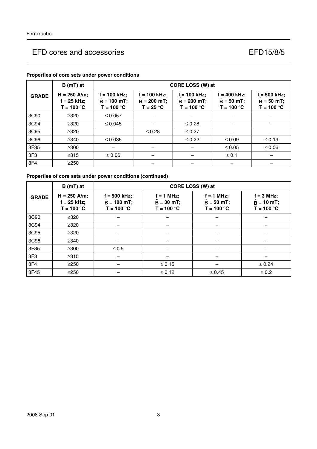|                 | $B(mT)$ at                                      |                                                 | CORE LOSS (W) at                             |                                                 |                                                |                                                |  |  |  |
|-----------------|-------------------------------------------------|-------------------------------------------------|----------------------------------------------|-------------------------------------------------|------------------------------------------------|------------------------------------------------|--|--|--|
| <b>GRADE</b>    | $H = 250$ A/m;<br>$f = 25$ kHz;<br>$T = 100 °C$ | $f = 100$ kHz;<br>$B = 100$ mT;<br>$T = 100 °C$ | f = 100 kHz;<br>$B = 200$ mT;<br>$T = 25 °C$ | $f = 100$ kHz;<br>$B = 200$ mT;<br>$T = 100 °C$ | $f = 400$ kHz;<br>$B = 50$ mT;<br>$T = 100 °C$ | $f = 500$ kHz;<br>$B = 50 mT;$<br>$T = 100 °C$ |  |  |  |
| 3C90            | $\geq$ 320                                      | $\leq 0.057$                                    |                                              |                                                 |                                                |                                                |  |  |  |
| 3C94            | $\geq 320$                                      | $\leq 0.045$                                    |                                              | $\leq 0.28$                                     |                                                |                                                |  |  |  |
| 3C95            | $\geq$ 320                                      |                                                 | $\leq 0.28$                                  | $\leq 0.27$                                     |                                                |                                                |  |  |  |
| 3C96            | $\geq$ 340                                      | $\leq 0.035$                                    |                                              | $\leq 0.22$                                     | $\leq 0.09$                                    | $\leq 0.19$                                    |  |  |  |
| 3F35            | $\geq$ 300                                      |                                                 |                                              |                                                 | $\leq 0.05$                                    | $≤ 0.06$                                       |  |  |  |
| 3F <sub>3</sub> | $\geq 315$                                      | $\leq 0.06$                                     |                                              |                                                 | $\leq 0.1$                                     |                                                |  |  |  |
| 3F4             | $\geq$ 250                                      |                                                 |                                              |                                                 |                                                |                                                |  |  |  |

## **Properties of core sets under power conditions**

# **Properties of core sets under power conditions (continued)**

|                 | $B(mT)$ at                                      | CORE LOSS (W) at                                |                                              |                                              |                                                     |  |  |
|-----------------|-------------------------------------------------|-------------------------------------------------|----------------------------------------------|----------------------------------------------|-----------------------------------------------------|--|--|
| <b>GRADE</b>    | $H = 250$ A/m;<br>$f = 25$ kHz;<br>$T = 100 °C$ | $f = 500$ kHz;<br>$B = 100 mT;$<br>$T = 100 °C$ | $f = 1$ MHz;<br>$B = 30$ mT;<br>$T = 100 °C$ | $f = 1$ MHz;<br>$B = 50$ mT;<br>$T = 100 °C$ | $f = 3 MHz;$<br>$\ddot{B}$ = 10 mT;<br>$T = 100 °C$ |  |  |
| 3C90            | $\geq 320$                                      |                                                 |                                              |                                              |                                                     |  |  |
| 3C94            | $\geq 320$                                      |                                                 |                                              |                                              |                                                     |  |  |
| 3C95            | $\geq 320$                                      |                                                 |                                              |                                              |                                                     |  |  |
| 3C96            | $\geq$ 340                                      |                                                 |                                              |                                              |                                                     |  |  |
| 3F35            | $\geq 300$                                      | $\leq 0.5$                                      |                                              |                                              |                                                     |  |  |
| 3F <sub>3</sub> | $\geq 315$                                      |                                                 |                                              |                                              |                                                     |  |  |
| 3F4             | $\geq$ 250                                      |                                                 | $≤ 0.15$                                     |                                              | $\leq 0.24$                                         |  |  |
| 3F45            | $\geq$ 250                                      |                                                 | $≤ 0.12$                                     | $\leq 0.45$                                  | $\leq 0.2$                                          |  |  |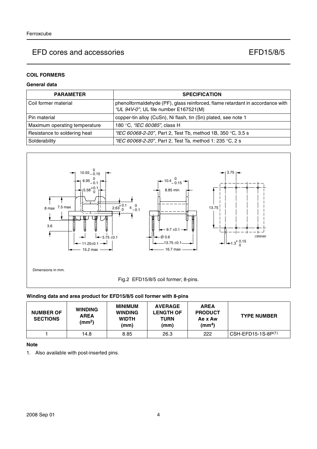## **COIL FORMERS**

## **General data**

| <b>PARAMETER</b>              | <b>SPECIFICATION</b>                                                                                                   |
|-------------------------------|------------------------------------------------------------------------------------------------------------------------|
| Coil former material          | phenolformaldehyde (PF), glass reinforced, flame retardant in accordance with<br>"UL 94V-0"; UL file number E167521(M) |
| Pin material                  | copper-tin alloy (CuSn), Ni flash, tin (Sn) plated, see note 1                                                         |
| Maximum operating temperature | 180 °C, "IEC 60085", class H                                                                                           |
| Resistance to soldering heat  | "IEC 60068-2-20", Part 2, Test Tb, method 1B, 350 °C, 3.5 s                                                            |
| Solderability                 | "IEC 60068-2-20", Part 2, Test Ta, method 1: 235 °C, 2 s                                                               |



### **Winding data and area product for EFD15/8/5 coil former with 8-pins**

| <b>NUMBER OF</b><br><b>SECTIONS</b> | <b>WINDING</b><br><b>AREA</b><br>(mm <sup>2</sup> ) | <b>MINIMUM</b><br><b>WINDING</b><br><b>WIDTH</b><br>(mm) | <b>AVERAGE</b><br><b>LENGTH OF</b><br><b>TURN</b><br>(mm) | <b>AREA</b><br><b>PRODUCT</b><br>Ae x Aw<br>(mm <sup>4</sup> ) | <b>TYPE NUMBER</b>   |
|-------------------------------------|-----------------------------------------------------|----------------------------------------------------------|-----------------------------------------------------------|----------------------------------------------------------------|----------------------|
|                                     | 14.8                                                | 8.85                                                     | 26.3                                                      | 222                                                            | $CSH-EFD15-1S-8P(1)$ |

### **Note**

1. Also available with post-inserted pins.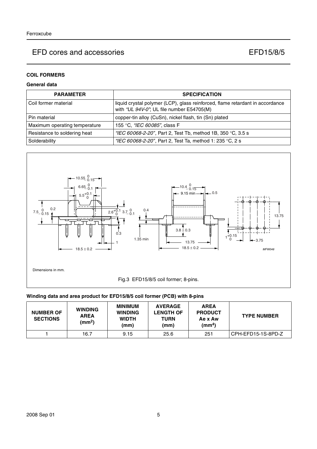# **COIL FORMERS**

## **General data**

| <b>PARAMETER</b>              | <b>SPECIFICATION</b>                                                                                                       |
|-------------------------------|----------------------------------------------------------------------------------------------------------------------------|
| l Coil former material        | liquid crystal polymer (LCP), glass reinforced, flame retardant in accordance<br>with "UL 94V-0"; UL file number E54705(M) |
| Pin material                  | copper-tin alloy (CuSn), nickel flash, tin (Sn) plated                                                                     |
| Maximum operating temperature | 155 °C, "IEC 60085", class F                                                                                               |
| Resistance to soldering heat  | "IEC 60068-2-20", Part 2, Test Tb, method 1B, 350 °C, 3.5 s                                                                |
| Solderability                 | "IEC 60068-2-20", Part 2, Test Ta, method 1: 235 °C, 2 s                                                                   |



## **Winding data and area product for EFD15/8/5 coil former (PCB) with 8-pins**

| <b>NUMBER OF</b><br><b>SECTIONS</b> | <b>WINDING</b><br><b>AREA</b><br>(mm <sup>2</sup> ) | <b>MINIMUM</b><br><b>WINDING</b><br><b>WIDTH</b><br>(mm) | <b>AVERAGE</b><br><b>LENGTH OF</b><br>TURN<br>(mm) | <b>AREA</b><br><b>PRODUCT</b><br>Ae x Aw<br>(mm <sup>4</sup> ) | <b>TYPE NUMBER</b> |
|-------------------------------------|-----------------------------------------------------|----------------------------------------------------------|----------------------------------------------------|----------------------------------------------------------------|--------------------|
|                                     | 16.7                                                | 9.15                                                     | 25.6                                               | 251                                                            | CPH-EFD15-1S-8PD-Z |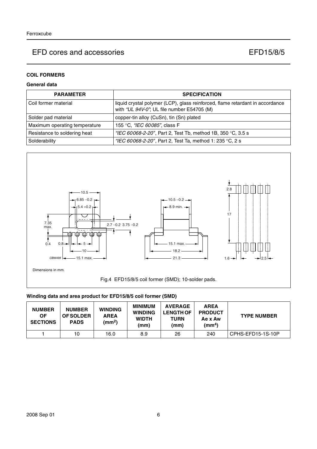### **COIL FORMERS**

## **General data**

| <b>PARAMETER</b>              | <b>SPECIFICATION</b>                                                                                                        |
|-------------------------------|-----------------------------------------------------------------------------------------------------------------------------|
| l Coil former material        | liquid crystal polymer (LCP), glass reinforced, flame retardant in accordance<br>with "UL 94V-0"; UL file number E54705 (M) |
| Solder pad material           | copper-tin alloy (CuSn), tin (Sn) plated                                                                                    |
| Maximum operating temperature | 155 °C, "IEC 60085", class F                                                                                                |
| Resistance to soldering heat  | "IEC 60068-2-20", Part 2, Test Tb, method 1B, 350 °C, 3.5 s                                                                 |
| Solderability                 | "IEC 60068-2-20", Part 2, Test Ta, method 1: 235 °C, 2 s                                                                    |



### **Winding data and area product for EFD15/8/5 coil former (SMD)**

| <b>NUMBER</b><br>ΟF<br><b>SECTIONS</b> | <b>NUMBER</b><br><b>OF SOLDER</b><br><b>PADS</b> | <b>WINDING</b><br><b>AREA</b><br>(mm <sup>2</sup> ) | MINIMUM<br><b>WINDING</b><br><b>WIDTH</b><br>(mm) | <b>AVERAGE</b><br><b>LENGTH OF</b><br>TURN<br>(mm) | <b>AREA</b><br><b>PRODUCT</b><br>Ae x Aw<br>(mm <sup>4</sup> ) | <b>TYPE NUMBER</b> |
|----------------------------------------|--------------------------------------------------|-----------------------------------------------------|---------------------------------------------------|----------------------------------------------------|----------------------------------------------------------------|--------------------|
|                                        | 10                                               | 16.0                                                | 8.9                                               | 26                                                 | 240                                                            | CPHS-EFD15-1S-10P  |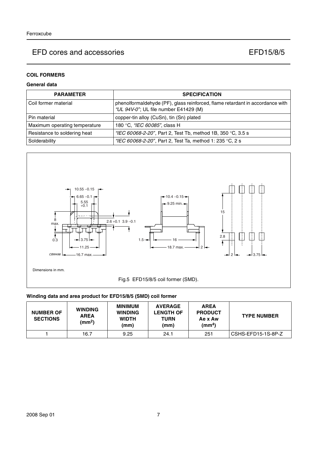# **COIL FORMERS**

## **General data**

| <b>PARAMETER</b>              | <b>SPECIFICATION</b>                                                                                                   |
|-------------------------------|------------------------------------------------------------------------------------------------------------------------|
| l Coil former material        | phenolformaldehyde (PF), glass reinforced, flame retardant in accordance with<br>"UL 94V-0"; UL file number E41429 (M) |
| l Pin material                | copper-tin alloy (CuSn), tin (Sn) plated                                                                               |
| Maximum operating temperature | 180 °C, "IEC 60085", class H                                                                                           |
| Resistance to soldering heat  | "IEC 60068-2-20", Part 2, Test Tb, method 1B, 350 °C, 3.5 s                                                            |
| Solderability                 | "IEC 60068-2-20", Part 2, Test Ta, method 1: 235 °C, 2 s                                                               |



## **Winding data and area product for EFD15/8/5 (SMD) coil former**

| <b>NUMBER OF</b><br><b>SECTIONS</b> | <b>WINDING</b><br><b>AREA</b><br>$\text{(mm}^2)$ | <b>MINIMUM</b><br><b>WINDING</b><br><b>WIDTH</b><br>(mm) | <b>AVERAGE</b><br><b>LENGTH OF</b><br>TURN<br>(mm) | <b>AREA</b><br><b>PRODUCT</b><br>Ae x Aw<br>(mm $^{4}$ ) | <b>TYPE NUMBER</b> |
|-------------------------------------|--------------------------------------------------|----------------------------------------------------------|----------------------------------------------------|----------------------------------------------------------|--------------------|
|                                     | 16.7                                             | 9.25                                                     | 24.1                                               | 251                                                      | CSHS-EFD15-1S-8P-Z |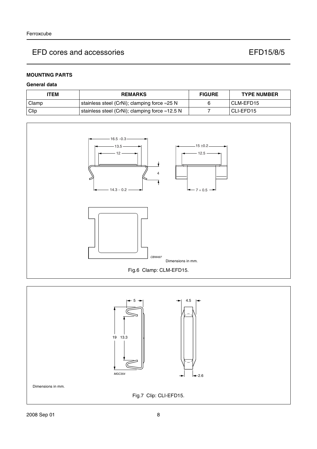# **MOUNTING PARTS**

## **General data**

| <b>ITEM</b> | <b>REMARKS</b>                                          | <b>FIGURE</b> | <b>TYPE NUMBER</b> |
|-------------|---------------------------------------------------------|---------------|--------------------|
| Clamp       | stainless steel (CrNi); clamping force $\approx$ 25 N   |               | CLM-EFD15          |
| Clip        | stainless steel (CrNi); clamping force $\approx$ 12.5 N |               | CLI-EFD15          |